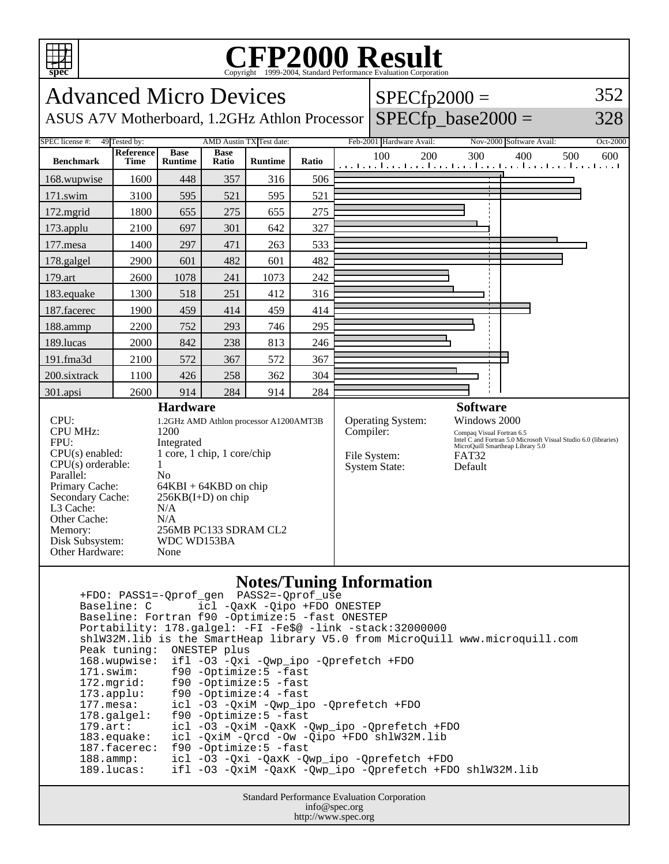

## **CFP2000 Result** Copyright ©1999-2004, Standard Performance Evaluation Corporation

| <b>Advanced Micro Devices</b>                                                                                                                                                                                          |                                                                                                                                                                                                                                                        | $SPECfp2000 =$                |                      |                                 |       |                                                                        |                          |                                                                                                                                                                                                | 352      |     |     |     |     |                                                                                |
|------------------------------------------------------------------------------------------------------------------------------------------------------------------------------------------------------------------------|--------------------------------------------------------------------------------------------------------------------------------------------------------------------------------------------------------------------------------------------------------|-------------------------------|----------------------|---------------------------------|-------|------------------------------------------------------------------------|--------------------------|------------------------------------------------------------------------------------------------------------------------------------------------------------------------------------------------|----------|-----|-----|-----|-----|--------------------------------------------------------------------------------|
| ASUS A7V Motherboard, 1.2GHz Athlon Processor                                                                                                                                                                          |                                                                                                                                                                                                                                                        |                               |                      |                                 |       |                                                                        | $SPECfp\_base2000 =$     |                                                                                                                                                                                                |          |     | 328 |     |     |                                                                                |
| <b>SPEC</b> license #:<br>49 Tested by:                                                                                                                                                                                |                                                                                                                                                                                                                                                        | Feb-2001 Hardware Avail:      |                      |                                 |       |                                                                        | Nov-2000 Software Avail: |                                                                                                                                                                                                | Oct-2000 |     |     |     |     |                                                                                |
| <b>Benchmark</b>                                                                                                                                                                                                       | <b>Reference</b><br>Time                                                                                                                                                                                                                               | <b>Base</b><br><b>Runtime</b> | <b>Base</b><br>Ratio | <b>Runtime</b>                  | Ratio |                                                                        | 100                      | 200                                                                                                                                                                                            |          | 300 |     | 400 | 500 | 600<br>المتما متما وتباعيت المتما وتماسيها وتباعيها وتماريتها وتواصيفا وبالمنا |
| 168.wupwise                                                                                                                                                                                                            | 1600                                                                                                                                                                                                                                                   | 448                           | 357                  | 316                             | 506   |                                                                        |                          |                                                                                                                                                                                                |          |     |     |     |     |                                                                                |
| 171.swim                                                                                                                                                                                                               | 3100                                                                                                                                                                                                                                                   | 595                           | 521                  | 595                             | 521   |                                                                        |                          |                                                                                                                                                                                                |          |     |     |     |     |                                                                                |
| 172.mgrid                                                                                                                                                                                                              | 1800                                                                                                                                                                                                                                                   | 655                           | 275                  | 655                             | 275   |                                                                        |                          |                                                                                                                                                                                                |          |     |     |     |     |                                                                                |
| 173.applu                                                                                                                                                                                                              | 2100                                                                                                                                                                                                                                                   | 697                           | 301                  | 642                             | 327   |                                                                        |                          |                                                                                                                                                                                                |          |     |     |     |     |                                                                                |
| 177.mesa                                                                                                                                                                                                               | 1400                                                                                                                                                                                                                                                   | 297                           | 471                  | 263                             | 533   |                                                                        |                          |                                                                                                                                                                                                |          |     |     |     |     |                                                                                |
| 178.galgel                                                                                                                                                                                                             | 2900                                                                                                                                                                                                                                                   | 601                           | 482                  | 601                             | 482   |                                                                        |                          |                                                                                                                                                                                                |          |     |     |     |     |                                                                                |
| 179.art                                                                                                                                                                                                                | 2600                                                                                                                                                                                                                                                   | 1078                          | 241                  | 1073                            | 242   |                                                                        |                          |                                                                                                                                                                                                |          |     |     |     |     |                                                                                |
| 183.equake                                                                                                                                                                                                             | 1300                                                                                                                                                                                                                                                   | 518                           | 251                  | 412                             | 316   |                                                                        |                          |                                                                                                                                                                                                |          |     |     |     |     |                                                                                |
| 187.facerec                                                                                                                                                                                                            | 1900                                                                                                                                                                                                                                                   | 459                           | 414                  | 459                             | 414   |                                                                        |                          |                                                                                                                                                                                                |          |     |     |     |     |                                                                                |
| 188.ammp                                                                                                                                                                                                               | 2200                                                                                                                                                                                                                                                   | 752                           | 293                  | 746                             | 295   |                                                                        |                          |                                                                                                                                                                                                |          |     |     |     |     |                                                                                |
| 189.lucas                                                                                                                                                                                                              | 2000                                                                                                                                                                                                                                                   | 842                           | 238                  | 813                             | 246   |                                                                        |                          |                                                                                                                                                                                                |          |     |     |     |     |                                                                                |
| 191.fma3d                                                                                                                                                                                                              | 2100                                                                                                                                                                                                                                                   | 572                           | 367                  | 572                             | 367   |                                                                        |                          |                                                                                                                                                                                                |          |     |     |     |     |                                                                                |
| 200.sixtrack                                                                                                                                                                                                           | 1100                                                                                                                                                                                                                                                   | 426                           | 258                  | 362                             | 304   |                                                                        |                          |                                                                                                                                                                                                |          |     |     |     |     |                                                                                |
| 301.apsi                                                                                                                                                                                                               | 2600                                                                                                                                                                                                                                                   | 914                           | 284                  | 914                             | 284   |                                                                        |                          |                                                                                                                                                                                                |          |     |     |     |     |                                                                                |
| CPU:<br><b>CPU MHz:</b><br>FPU:<br>$CPU(s)$ enabled:<br>CPU(s) orderable:<br>Parallel:<br>Primary Cache:<br>Secondary Cache:<br>L <sub>3</sub> Cache:<br>Other Cache:<br>Memory:<br>Disk Subsystem:<br>Other Hardware: | <b>Hardware</b><br>1.2GHz AMD Athlon processor A1200AMT3B<br>1200<br>Integrated<br>1 core, 1 chip, 1 core/chip<br>1<br>N <sub>0</sub><br>$64KBI + 64KBD$ on chip<br>$256KB(I+D)$ on chip<br>N/A<br>N/A<br>256MB PC133 SDRAM CL2<br>WDC WD153BA<br>None |                               |                      |                                 |       | Operating System:<br>Compiler:<br>File System:<br><b>System State:</b> |                          | <b>Software</b><br>Windows 2000<br>Compaq Visual Fortran 6.5<br>Intel C and Fortran 5.0 Microsoft Visual Studio 6.0 (libraries)<br>MicroQuill Smartheap Library 5.0<br><b>FAT32</b><br>Default |          |     |     |     |     |                                                                                |
|                                                                                                                                                                                                                        |                                                                                                                                                                                                                                                        |                               |                      | <b>Notes/Tuning Information</b> |       |                                                                        |                          |                                                                                                                                                                                                |          |     |     |     |     |                                                                                |

## **Notes/Tuning Information**

 +FDO: PASS1=-Qprof\_gen PASS2=-Qprof\_use Baseline: C icl -QaxK -Qipo +FDO ONESTEP Baseline: Fortran f90 -Optimize:5 -fast ONESTEP Portability: 178.galgel: -FI -Fe\$@ -link -stack:32000000 shlW32M.lib is the SmartHeap library V5.0 from MicroQuill www.microquill.com Peak tuning: ONESTEP plus 168.wupwise: ifl -O3 -Qxi -Qwp\_ipo -Qprefetch +FDO 171.swim: f90 -Optimize:5 -fast<br>172.mgrid: f90 -Optimize:5 -fast 172.mgrid: f90 -Optimize:5 -fast 173.applu: f90 -Optimize:4 -fast 177.mesa: icl -O3 -QxiM -Qwp\_ipo -Qprefetch +FDO 178.galgel: f90 -Optimize:5 -fast<br>179.art: icl -03 -QxiM -QaxK - 179.art: icl -O3 -QxiM -QaxK -Qwp\_ipo -Qprefetch +FDO icl -QxiM -Qrcd -Ow -Qipo +FDO shlW32M.lib 187.facerec: f90 -Optimize:5 -fast 188.ammp: icl -O3 -Qxi -QaxK -Qwp\_ipo -Qprefetch +FDO ifl -03 -QxiM -QaxK -Qwp\_ipo -Qprefetch +FDO shlW32M.lib

> Standard Performance Evaluation Corporation info@spec.org http://www.spec.org